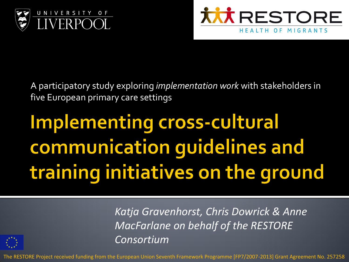



A participatory study exploring *implementation work* with stakeholders in five European primary care settings

## **Implementing cross-cultural** communication guidelines and training initiatives on the ground



*Katja Gravenhorst, Chris Dowrick & Anne MacFarlane on behalf of the RESTORE Consortium*

The RESTORE Project received funding from the European Union Seventh Framework Programme [FP7/2007-2013] Grant Agreement No. 257258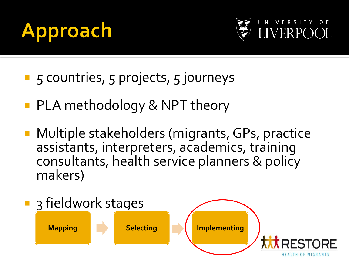#### pproach A



- **5** S countries, 5 projects, 5 journeys
- PLA methodology & NPT theory
- **Multiple stakeholders (migrants, GPs, practice** assistants, interpreters, academics, training consultants, health service planners & policy makers)

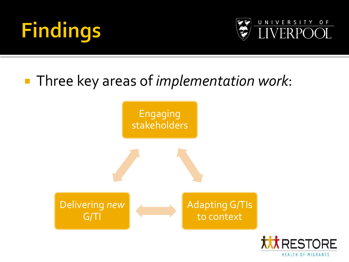



#### Three key areas of *implementation work*:



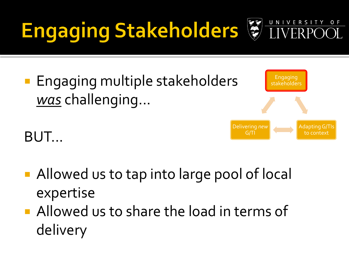# Engaging Stakeholders & LIN

**Engaging multiple stakeholders** *was* challenging...

BUT...



UNIVERSIT

 $O F$ 

- Allowed us to tap into large pool of local expertise
- **Allowed us to share the load in terms of** delivery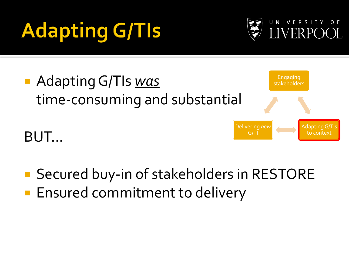# **Adapting G/Tls**





■ Secured buy-in of stakeholders in RESTORE **Ensured commitment to delivery**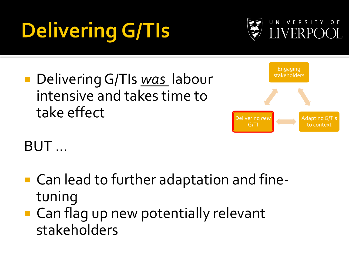# **Delivering G/TIs**



■ Delivering G/TIs <u>was</u> labour intensive and takes time to take effect



BUT ...

- Can lead to further adaptation and finetuning
- Can flag up new potentially relevant stakeholders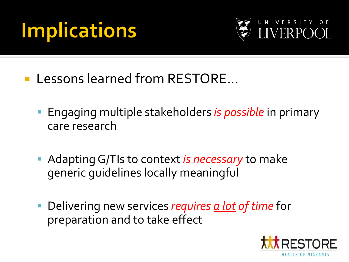#### **Implications**



- **Lessons learned from RESTORE...** 
	- **Engaging multiple stakeholders is possible in primary** care research
	- Adapting G/TIs to context *is necessary* to make generic guidelines locally meaningful
	- Delivering new services *requires a lot of time* for preparation and to take effect